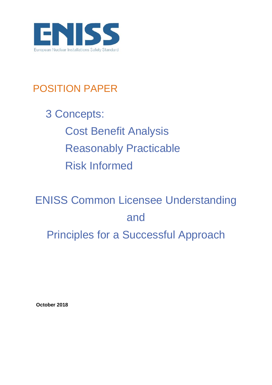

## POSITION PAPER

3 Concepts: Cost Benefit Analysis Reasonably Practicable Risk Informed

# ENISS Common Licensee Understanding and Principles for a Successful Approach

**October 2018**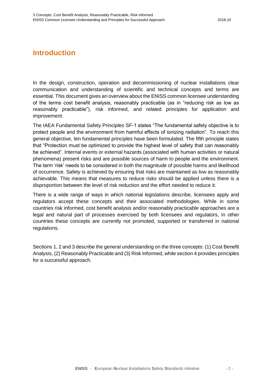## **Introduction**

In the design, construction, operation and decommissioning of nuclear installations clear communication and understanding of scientific and technical concepts and terms are essential. This document gives an overview about the ENISS common licensee understanding of the terms cost benefit analysis, reasonably practicable (as in "reducing risk as low as reasonably practicable"), risk informed, and related principles for application and improvement.

The IAEA Fundamental Safety Principles SF-1 states "The fundamental safety objective is to protect people and the environment from harmful effects of ionizing radiation". To reach this general objective, ten fundamental principles have been formulated. The fifth principle states that "Protection must be optimized to provide the highest level of safety that can reasonably be achieved". Internal events or external hazards (associated with human activities or natural phenomena) present risks and are possible sources of harm to people and the environment. The term 'risk' needs to be considered in both the magnitude of possible harms and likelihood of occurrence. Safety is achieved by ensuring that risks are maintained as low as reasonably achievable. This means that measures to reduce risks should be applied unless there is a disproportion between the level of risk reduction and the effort needed to reduce it.

There is a wide range of ways in which national legislations describe, licensees apply and regulators accept these concepts and their associated methodologies. While in some countries risk informed, cost benefit analysis and/or reasonably practicable approaches are a legal and natural part of processes exercised by both licensees and regulators, in other countries these concepts are currently not promoted, supported or transferred in national regulations.

Sections 1, 2 and 3 describe the general understanding on the three concepts: (1) Cost Benefit Analysis, (2) Reasonably Practicable and (3) Risk Informed, while section 4 provides principles for a successful approach.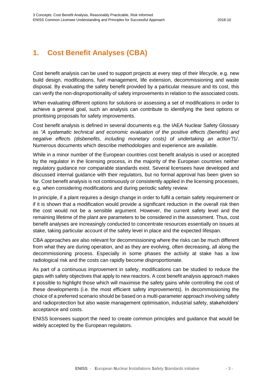## **1. Cost Benefit Analyses (CBA)**

Cost benefit analysis can be used to support projects at every step of their lifecycle, e.g. new build design, modifications, fuel management, life extension, decommissioning and waste disposal. By evaluating the safety benefit provided by a particular measure and its cost, this can verify the non-disproportionality of safety improvements in relation to the associated costs.

When evaluating different options for solutions or assessing a set of modifications in order to achieve a general goal, such an analysis can contribute to identifying the best options or prioritising proposals for safety improvements.

Cost benefit analysis is defined in several documents e.g. the IAEA Nuclear Safety Glossary as *"A systematic technical and economic evaluation of the positive effects (benefits) and negative effects (disbenefits, including monetary costs) of undertaking an action"*/1/. Numerous documents which describe methodologies and experience are available.

While in a minor number of the European countries cost benefit analysis is used or accepted by the regulator in the licensing process, in the majority of the European countries neither regulatory guidance nor comparable standards exist. Several licensees have developed and discussed internal guidance with their regulators, but no formal approval has been given so far. Cost benefit analysis is not continuously or consistently applied in the licensing processes, e.g. when considering modifications and during periodic safety review.

In principle, if a plant requires a design change in order to fulfil a certain safety requirement or if it is shown that a modification would provide a significant reduction in the overall risk then the cost would not be a sensible argument. However, the current safety level and the remaining lifetime of the plant are parameters to be considered in the assessment. Thus, cost benefit analyses are increasingly conducted to concentrate resources essentially on issues at stake, taking particular account of the safety level in place and the expected lifespan.

CBA approaches are also relevant for decommissioning where the risks can be much different from what they are during operation, and as they are evolving, often decreasing, all along the decommissioning process. Especially in some phases the activity at stake has a low radiological risk and the costs can rapidly become disproportionate.

As part of a continuous improvement in safety, modifications can be studied to reduce the gaps with safety objectives that apply to new reactors. A cost benefit analysis approach makes it possible to highlight those which will maximise the safety gains while controlling the cost of these developments (i.e. the most efficient safety improvements). In decommissioning the choice of a preferred scenario should be based on a multi-parameter approach involving safety and radioprotection but also waste management optimisation, industrial safety, stakeholders' acceptance and costs.

ENISS licensees support the need to create common principles and guidance that would be widely accepted by the European regulators.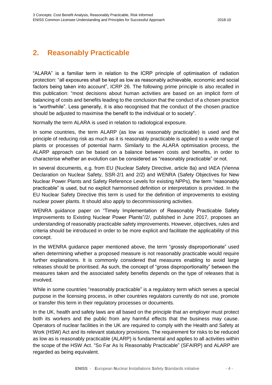## **2. Reasonably Practicable**

"ALARA" is a familiar term in relation to the ICRP principle of optimisation of radiation protection: "all exposures shall be kept as low as reasonably achievable, economic and social factors being taken into account", ICRP 26. The following prime principle is also recalled in this publication: "most decisions about human activities are based on an implicit form of balancing of costs and benefits leading to the conclusion that the conduct of a chosen practice is "worthwhile". Less generally, it is also recognised that the conduct of the chosen practice should be adjusted to maximise the benefit to the individual or to society".

Normally the term ALARA is used in relation to radiological exposure.

In some countries, the term ALARP (as low as reasonably practicable) is used and the principle of reducing risk as much as it is reasonably practicable is applied to a wide range of plants or processes of potential harm. Similarly to the ALARA optimisation process, the ALARP approach can be based on a balance between costs and benefits, in order to characterise whether an evolution can be considered as "reasonably practicable" or not.

In several documents, e.g. from EU (Nuclear Safety Directive, article 8a) and IAEA (Vienna Declaration on Nuclear Safety, SSR-2/1 and 2/2) and WENRA (Safety Objectives for New Nuclear Power Plants and Safety Reference Levels for existing NPPs), the term "reasonably practicable" is used, but no explicit harmonised definition or interpretation is provided. In the EU Nuclear Safety Directive this term is used for the definition of improvements to existing nuclear power plants. It should also apply to decommissioning activities.

WENRA guidance paper on "Timely Implementation of Reasonably Practicable Safety Improvements to Existing Nuclear Power Plants"/2/, published in June 2017, proposes an understanding of reasonably practicable safety improvements. However, objectives, rules and criteria should be introduced in order to be more explicit and facilitate the applicability of this concept.

In the WENRA guidance paper mentioned above, the term "grossly disproportionate" used when determining whether a proposed measure is not reasonably practicable would require further explanations. It is commonly considered that measures enabling to avoid large releases should be prioritised. As such, the concept of "gross disproportionality" between the measures taken and the associated safety benefits depends on the type of releases that is involved.

While in some countries "reasonably practicable" is a regulatory term which serves a special purpose in the licensing process, in other countries regulators currently do not use, promote or transfer this term in their regulatory processes or documents.

In the UK, health and safety laws are all based on the principle that an employer must protect both its workers and the public from any harmful effects that the business may cause. Operators of nuclear facilities in the UK are required to comply with the Health and Safety at Work (HSW) Act and its relevant statutory provisions. The requirement for risks to be reduced as low as is reasonably practicable (ALARP) is fundamental and applies to all activities within the scope of the HSW Act. "So Far As Is Reasonably Practicable" (SFAIRP) and ALARP are regarded as being equivalent.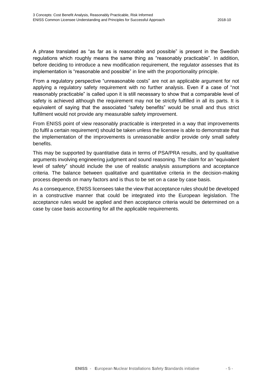A phrase translated as "as far as is reasonable and possible" is present in the Swedish regulations which roughly means the same thing as "reasonably practicable". In addition, before deciding to introduce a new modification requirement, the regulator assesses that its implementation is "reasonable and possible" in line with the proportionality principle.

From a regulatory perspective "unreasonable costs" are not an applicable argument for not applying a regulatory safety requirement with no further analysis. Even if a case of "not reasonably practicable" is called upon it is still necessary to show that a comparable level of safety is achieved although the requirement may not be strictly fulfilled in all its parts. It is equivalent of saying that the associated "safety benefits" would be small and thus strict fulfilment would not provide any measurable safety improvement.

From ENISS point of view reasonably practicable is interpreted in a way that improvements (to fulfil a certain requirement) should be taken unless the licensee is able to demonstrate that the implementation of the improvements is unreasonable and/or provide only small safety benefits.

This may be supported by quantitative data in terms of PSA/PRA results, and by qualitative arguments involving engineering judgment and sound reasoning. The claim for an "equivalent level of safety" should include the use of realistic analysis assumptions and acceptance criteria. The balance between qualitative and quantitative criteria in the decision-making process depends on many factors and is thus to be set on a case by case basis.

As a consequence, ENISS licensees take the view that acceptance rules should be developed in a constructive manner that could be integrated into the European legislation. The acceptance rules would be applied and then acceptance criteria would be determined on a case by case basis accounting for all the applicable requirements.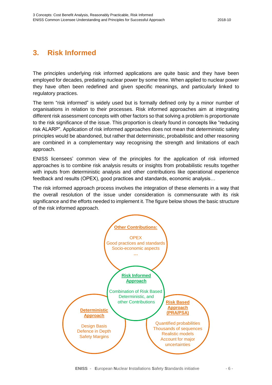## **3. Risk Informed**

The principles underlying risk informed applications are quite basic and they have been employed for decades, predating nuclear power by some time. When applied to nuclear power they have often been redefined and given specific meanings, and particularly linked to regulatory practices.

The term "risk informed" is widely used but is formally defined only by a minor number of organisations in relation to their processes. Risk informed approaches aim at integrating different risk assessment concepts with other factors so that solving a problem is proportionate to the risk significance of the issue. This proportion is clearly found in concepts like "reducing risk ALARP". Application of risk informed approaches does not mean that deterministic safety principles would be abandoned, but rather that deterministic, probabilistic and other reasoning are combined in a complementary way recognising the strength and limitations of each approach.

ENISS licensees' common view of the principles for the application of risk informed approaches is to combine risk analysis results or insights from probabilistic results together with inputs from deterministic analysis and other contributions like operational experience feedback and results (OPEX), good practices and standards, economic analysis…

The risk informed approach process involves the integration of these elements in a way that the overall resolution of the issue under consideration is commensurate with its risk significance and the efforts needed to implement it. The figure below shows the basic structure of the risk informed approach.

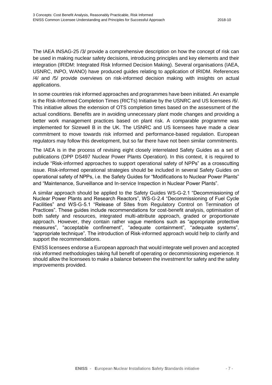The IAEA INSAG-25 /3/ provide a comprehensive description on how the concept of risk can be used in making nuclear safety decisions, introducing principles and key elements and their integration (IRIDM: Integrated Risk Informed Decision Making). Several organisations (IAEA, USNRC, INPO, WANO) have produced guides relating to application of IRIDM. References /4/ and /5/ provide overviews on risk-informed decision making with insights on actual applications.

In some countries risk informed approaches and programmes have been initiated. An example is the Risk-Informed Completion Times (RICTs) Initiative by the USNRC and US licensees /6/. This initiative allows the extension of OTS completion times based on the assessment of the actual conditions. Benefits are in avoiding unnecessary plant mode changes and providing a better work management practices based on plant risk. A comparable programme was implemented for Sizewell B in the UK. The USNRC and US licensees have made a clear commitment to move towards risk informed and performance-based regulation. European regulators may follow this development, but so far there have not been similar commitments.

The IAEA is in the process of revising eight closely interrelated Safety Guides as a set of publications (DPP DS497 Nuclear Power Plants Operation). In this context, it is required to include "Risk-informed approaches to support operational safety of NPPs" as a crosscutting issue. Risk-informed operational strategies should be included in several Safety Guides on operational safety of NPPs, i.e. the Safety Guides for "Modifications to Nuclear Power Plants" and "Maintenance, Surveillance and In-service Inspection in Nuclear Power Plants".

A similar approach should be applied to the Safety Guides WS-G-2.1 "Decommissioning of Nuclear Power Plants and Research Reactors", WS-G-2.4 "Decommissioning of Fuel Cycle Facilities" and WS-G-5.1 "Release of Sites from Regulatory Control on Termination of Practices". These guides include recommendations for cost-benefit analysis, optimisation of both safety and resources, integrated multi-attribute approach, graded or proportionate approach. However, they contain rather vague mentions such as "appropriate protective measures", "acceptable confinement", "adequate containment", "adequate systems", "appropriate technique". The introduction of Risk-informed approach would help to clarify and support the recommendations.

ENISS licensees endorse a European approach that would integrate well proven and accepted risk informed methodologies taking full benefit of operating or decommissioning experience. It should allow the licensees to make a balance between the investment for safety and the safety improvements provided.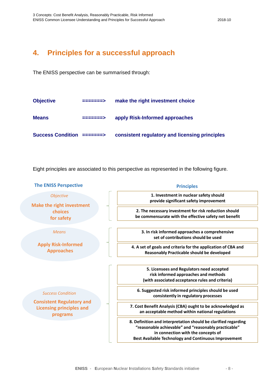## **4. Principles for a successful approach**

The ENISS perspective can be summarised through:



Eight principles are associated to this perspective as represented in the following figure.

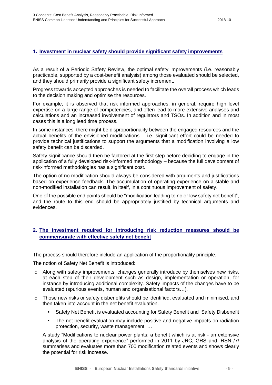#### **1. Investment in nuclear safety should provide significant safety improvements**

As a result of a Periodic Safety Review, the optimal safety improvements (i.e. reasonably practicable, supported by a cost-benefit analysis) among those evaluated should be selected, and they should primarily provide a significant safety increment.

Progress towards accepted approaches is needed to facilitate the overall process which leads to the decision making and optimise the resources.

For example, it is observed that risk informed approaches, in general, require high level expertise on a large range of competencies, and often lead to more extensive analyses and calculations and an increased involvement of regulators and TSOs. In addition and in most cases this is a long lead time process.

In some instances, there might be disproportionality between the engaged resources and the actual benefits of the envisioned modifications – i.e. significant effort could be needed to provide technical justifications to support the arguments that a modification involving a low safety benefit can be discarded.

Safety significance should then be factored at the first step before deciding to engage in the application of a fully developed risk-informed methodology – because the full development of risk-informed methodologies has a significant cost.

The option of no modification should always be considered with arguments and justifications based on experience feedback. The accumulation of operating experience on a stable and non-modified installation can result, in itself, in a continuous improvement of safety.

One of the possible end points should be "modification leading to no or low safety net benefit", and the route to this end should be appropriately justified by technical arguments and evidences.

#### **2. The investment required for introducing risk reduction measures should be commensurate with effective safety net benefit**

The process should therefore include an application of the proportionality principle.

The notion of Safety Net Benefit is introduced:

- $\circ$  Along with safety improvements, changes generally introduce by themselves new risks, at each step of their development such as design, implementation or operation, for instance by introducing additional complexity. Safety impacts of the changes have to be evaluated (spurious events, human and organisational factors…).
- $\circ$  Those new risks or safety disbenefits should be identified, evaluated and minimised, and then taken into account in the net benefit evaluation.
	- Safety Net Benefit is evaluated accounting for Safety Benefit and Safety Disbenefit
	- The net benefit evaluation may include positive and negative impacts on radiation protection, security, waste management, …

A study "Modifications to nuclear power plants: a benefit which is at risk - an extensive analysis of the operating experience" performed in 2011 by JRC, GRS and IRSN /7/ summarises and evaluates more than 700 modification related events and shows clearly the potential for risk increase.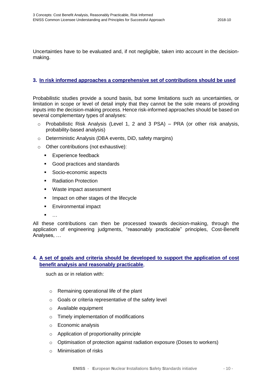Uncertainties have to be evaluated and, if not negligible, taken into account in the decisionmaking.

#### **3. In risk informed approaches a comprehensive set of contributions should be used**

Probabilistic studies provide a sound basis, but some limitations such as uncertainties, or limitation in scope or level of detail imply that they cannot be the sole means of providing inputs into the decision-making process. Hence risk-informed approaches should be based on several complementary types of analyses:

- $\circ$  Probabilistic Risk Analysis (Level 1, 2 and 3 PSA) PRA (or other risk analysis, probability-based analysis)
- o Deterministic Analysis (DBA events, DiD, safety margins)
- o Other contributions (not exhaustive):
	- **Experience feedback**
	- Good practices and standards
	- **Socio-economic aspects**
	- Radiation Protection
	- Waste impact assessment
	- **IMPACT ON OTHER STAGES OF the lifecycle**
	- **Environmental impact**
	- $\blacksquare$

All these contributions can then be processed towards decision-making, through the application of engineering judgments, "reasonably practicable" principles, Cost-Benefit Analyses, …

#### **4. A set of goals and criteria should be developed to support the application of cost benefit analysis and reasonably practicable**,

such as or in relation with:

- o Remaining operational life of the plant
- o Goals or criteria representative of the safety level
- o Available equipment
- o Timely implementation of modifications
- o Economic analysis
- o Application of proportionality principle
- o Optimisation of protection against radiation exposure (Doses to workers)
- o Minimisation of risks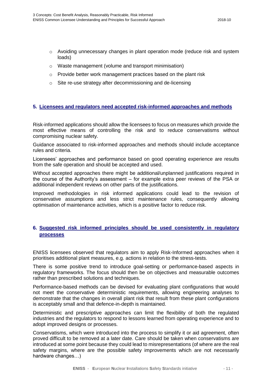- o Avoiding unnecessary changes in plant operation mode (reduce risk and system loads)
- o Waste management (volume and transport minimisation)
- o Provide better work management practices based on the plant risk
- o Site re-use strategy after decommissioning and de-licensing

#### **5. Licensees and regulators need accepted risk-informed approaches and methods**

Risk-informed applications should allow the licensees to focus on measures which provide the most effective means of controlling the risk and to reduce conservatisms without compromising nuclear safety.

Guidance associated to risk-informed approaches and methods should include acceptance rules and criteria.

Licensees' approaches and performance based on good operating experience are results from the safe operation and should be accepted and used.

Without accepted approaches there might be additional/unplanned justifications required in the course of the Authority's assessment – for example extra peer reviews of the PSA or additional independent reviews on other parts of the justifications.

Improved methodologies in risk informed applications could lead to the revision of conservative assumptions and less strict maintenance rules, consequently allowing optimisation of maintenance activities, which is a positive factor to reduce risk.

#### **6. Suggested risk informed principles should be used consistently in regulatory processes**

ENISS licensees observed that regulators aim to apply Risk-Informed approaches when it prioritises additional plant measures, e.g. actions in relation to the stress-tests.

There is some positive trend to introduce goal-setting or performance-based aspects in regulatory frameworks. The focus should then be on objectives and measurable outcomes rather than prescribed solutions and techniques.

Performance-based methods can be devised for evaluating plant configurations that would not meet the conservative deterministic requirements, allowing engineering analyses to demonstrate that the changes in overall plant risk that result from these plant configurations is acceptably small and that defence-in-depth is maintained.

Deterministic and prescriptive approaches can limit the flexibility of both the regulated industries and the regulators to respond to lessons learned from operating experience and to adopt improved designs or processes.

Conservatisms, which were introduced into the process to simplify it or aid agreement, often proved difficult to be removed at a later date. Care should be taken when conservatisms are introduced at some point because they could lead to misrepresentations (of where are the real safety margins, where are the possible safety improvements which are not necessarily hardware changes…)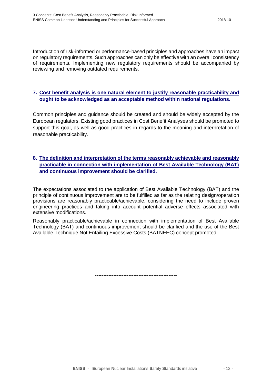Introduction of risk-informed or performance-based principles and approaches have an impact on regulatory requirements. Such approaches can only be effective with an overall consistency of requirements. Implementing new regulatory requirements should be accompanied by reviewing and removing outdated requirements.

#### **7. Cost benefit analysis is one natural element to justify reasonable practicability and ought to be acknowledged as an acceptable method within national regulations.**

Common principles and guidance should be created and should be widely accepted by the European regulators. Existing good practices in Cost Benefit Analyses should be promoted to support this goal, as well as good practices in regards to the meaning and interpretation of reasonable practicability.

#### **8. The definition and interpretation of the terms reasonably achievable and reasonably practicable in connection with implementation of Best Available Technology (BAT) and continuous improvement should be clarified.**

The expectations associated to the application of Best Available Technology (BAT) and the principle of continuous improvement are to be fulfilled as far as the relating design/operation provisions are reasonably practicable/achievable, considering the need to include proven engineering practices and taking into account potential adverse effects associated with extensive modifications.

Reasonably practicable/achievable in connection with implementation of Best Available Technology (BAT) and continuous improvement should be clarified and the use of the Best Available Technique Not Entailing Excessive Costs (BATNEEC) concept promoted.

-------------------------------------------------